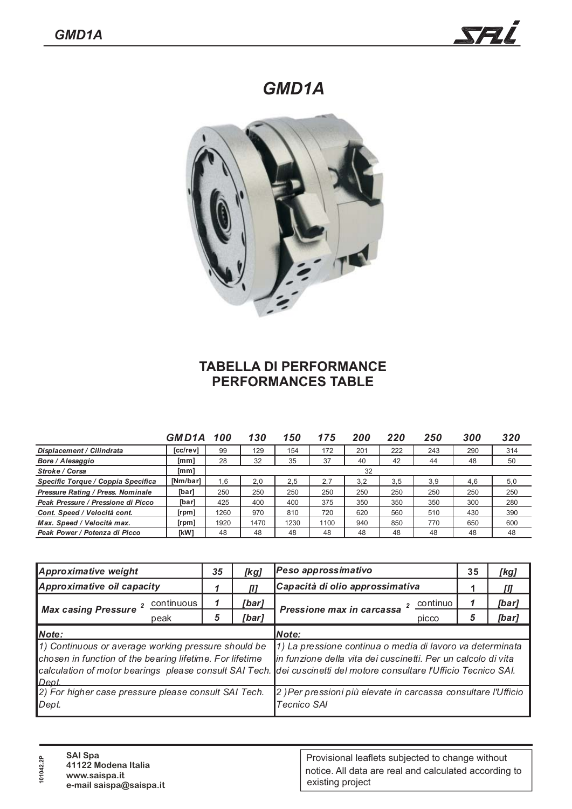## *GMD1A*



## **TABELLA DI PERFORMANCE PERFORMANCES TABLE**

|                                    | GMD1A       | -100 | 130  | 150  | 175  | 200 | 220 | 250 | 300 | 320 |
|------------------------------------|-------------|------|------|------|------|-----|-----|-----|-----|-----|
| Displacement / Cilindrata          | [cc/rev]    | 99   | 129  | 154  | 172  | 201 | 222 | 243 | 290 | 314 |
| Bore / Alesaggio                   | [mm]        | 28   | 32   | 35   | 37   | 40  | 42  | 44  | 48  | 50  |
| Stroke / Corsa                     | [mm]        | 32   |      |      |      |     |     |     |     |     |
| Specific Torque / Coppia Specifica | [Nm/bar]    | 1.6  | 2.0  | 2.5  | 2.7  | 3.2 | 3.5 | 3.9 | 4,6 | 5,0 |
| Pressure Rating / Press. Nominale  | [bar]       | 250  | 250  | 250  | 250  | 250 | 250 | 250 | 250 | 250 |
| Peak Pressure / Pressione di Picco | [bar]       | 425  | 400  | 400  | 375  | 350 | 350 | 350 | 300 | 280 |
| Cont. Speed / Velocità cont.       | [rpm]       | 1260 | 970  | 810  | 720  | 620 | 560 | 510 | 430 | 390 |
| Max. Speed / Velocità max.         | [rpm]       | 1920 | 1470 | 1230 | 1100 | 940 | 850 | 770 | 650 | 600 |
| Peak Power / Potenza di Picco      | <b>TkW1</b> | 48   | 48   | 48   | 48   | 48  | 48  | 48  | 48  | 48  |

| Approximative weight                                                                                                     | 35 | [kg]  | Peso approssimativo                                                                                                                                                                                                                              | 35 | [kg]  |  |
|--------------------------------------------------------------------------------------------------------------------------|----|-------|--------------------------------------------------------------------------------------------------------------------------------------------------------------------------------------------------------------------------------------------------|----|-------|--|
| Approximative oil capacity                                                                                               |    |       | Capacità di olio approssimativa                                                                                                                                                                                                                  |    | Ш     |  |
| continuous<br><b>Max casing Pressure</b>                                                                                 |    | [bar] | continuo<br>Pressione max in carcassa                                                                                                                                                                                                            | 1  | [bar] |  |
| peak                                                                                                                     | 5  | [bar] | picco                                                                                                                                                                                                                                            | 5  | [bar] |  |
| Note:                                                                                                                    |    |       | Note:                                                                                                                                                                                                                                            |    |       |  |
| 1) Continuous or average working pressure should be<br>chosen in function of the bearing lifetime. For lifetime<br>Dept. |    |       | 1) La pressione continua o media di lavoro va determinata<br>in funzione della vita dei cuscinetti. Per un calcolo di vita<br>calculation of motor bearings please consult SAI Tech. dei cuscinetti del motore consultare l'Ufficio Tecnico SAI. |    |       |  |
| 2) For higher case pressure please consult SAI Tech.<br>Dept.                                                            |    |       | 2) Per pressioni più elevate in carcassa consultare l'Ufficio<br><b>Tecnico SAI</b>                                                                                                                                                              |    |       |  |

| ិ÷<br>$\circ$ | <b>SAI Spa</b><br>41122 Modena Italia<br>www.saispa.it<br>e-mail saispa@saispa.it | Provisional leaflets subjected to change without<br>notice. All data are real and calculated according to<br>existing project |
|---------------|-----------------------------------------------------------------------------------|-------------------------------------------------------------------------------------------------------------------------------|
|---------------|-----------------------------------------------------------------------------------|-------------------------------------------------------------------------------------------------------------------------------|